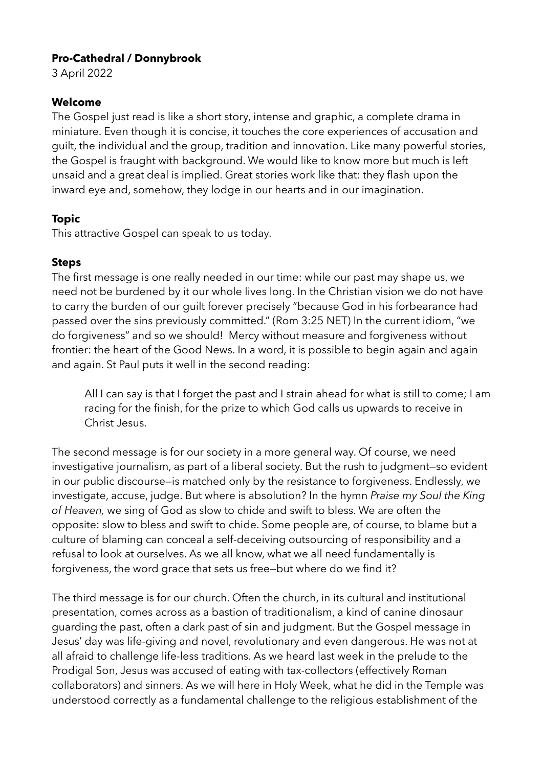# **Pro-Cathedral / Donnybrook**

3 April 2022

#### **Welcome**

The Gospel just read is like a short story, intense and graphic, a complete drama in miniature. Even though it is concise, it touches the core experiences of accusation and guilt, the individual and the group, tradition and innovation. Like many powerful stories, the Gospel is fraught with background. We would like to know more but much is left unsaid and a great deal is implied. Great stories work like that: they flash upon the inward eye and, somehow, they lodge in our hearts and in our imagination.

# **Topic**

This attractive Gospel can speak to us today.

# **Steps**

The first message is one really needed in our time: while our past may shape us, we need not be burdened by it our whole lives long. In the Christian vision we do not have to carry the burden of our guilt forever precisely "because God in his forbearance had passed over the sins previously committed." (Rom 3:25 NET) In the current idiom, "we do forgiveness" and so we should! Mercy without measure and forgiveness without frontier: the heart of the Good News. In a word, it is possible to begin again and again and again. St Paul puts it well in the second reading:

All I can say is that I forget the past and I strain ahead for what is still to come; I am racing for the finish, for the prize to which God calls us upwards to receive in Christ Jesus.

The second message is for our society in a more general way. Of course, we need investigative journalism, as part of a liberal society. But the rush to judgment—so evident in our public discourse—is matched only by the resistance to forgiveness. Endlessly, we investigate, accuse, judge. But where is absolution? In the hymn *Praise my Soul the King of Heaven,* we sing of God as slow to chide and swift to bless. We are often the opposite: slow to bless and swift to chide. Some people are, of course, to blame but a culture of blaming can conceal a self-deceiving outsourcing of responsibility and a refusal to look at ourselves. As we all know, what we all need fundamentally is forgiveness, the word grace that sets us free—but where do we find it?

The third message is for our church. Often the church, in its cultural and institutional presentation, comes across as a bastion of traditionalism, a kind of canine dinosaur guarding the past, often a dark past of sin and judgment. But the Gospel message in Jesus' day was life-giving and novel, revolutionary and even dangerous. He was not at all afraid to challenge life-less traditions. As we heard last week in the prelude to the Prodigal Son, Jesus was accused of eating with tax-collectors (effectively Roman collaborators) and sinners. As we will here in Holy Week, what he did in the Temple was understood correctly as a fundamental challenge to the religious establishment of the